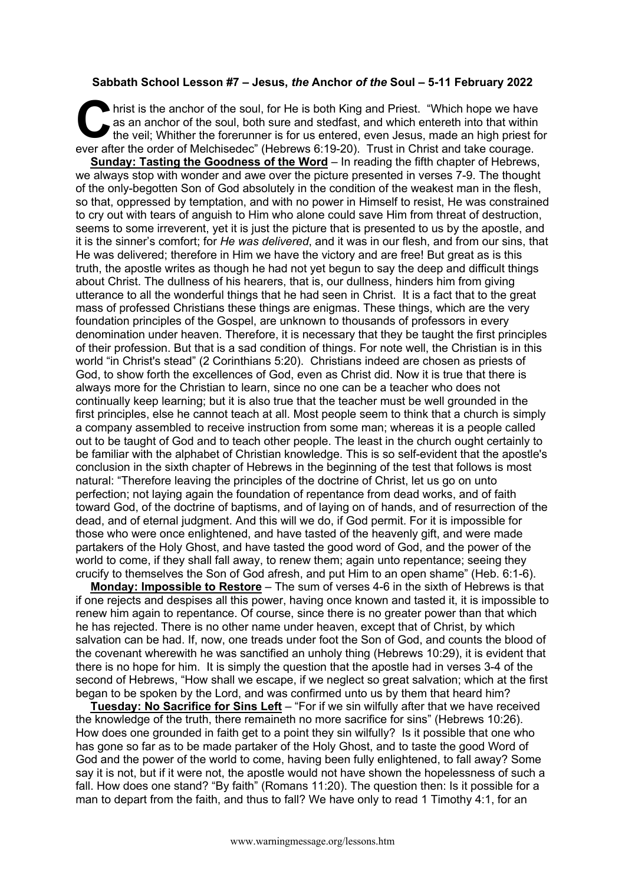## **Sabbath School Lesson #7 – Jesus,** *the* **Anchor** *of the* **Soul – 5-11 February 2022**

hrist is the anchor of the soul, for He is both King and Priest. "Which hope we have as an anchor of the soul, both sure and stedfast, and which entereth into that within the veil; Whither the forerunner is for us entered, even Jesus, made an high priest for hrist is the anchor of the soul, for He is both King and Priest. "Which hope we have as an anchor of the soul, both sure and stedfast, and which entereth into that within the veil; Whither the forerunner is for us entered,

**Sunday: Tasting the Goodness of the Word** – In reading the fifth chapter of Hebrews, we always stop with wonder and awe over the picture presented in verses 7-9. The thought of the only-begotten Son of God absolutely in the condition of the weakest man in the flesh, so that, oppressed by temptation, and with no power in Himself to resist, He was constrained to cry out with tears of anguish to Him who alone could save Him from threat of destruction, seems to some irreverent, yet it is just the picture that is presented to us by the apostle, and it is the sinner's comfort; for *He was delivered*, and it was in our flesh, and from our sins, that He was delivered; therefore in Him we have the victory and are free! But great as is this truth, the apostle writes as though he had not yet begun to say the deep and difficult things about Christ. The dullness of his hearers, that is, our dullness, hinders him from giving utterance to all the wonderful things that he had seen in Christ. It is a fact that to the great mass of professed Christians these things are enigmas. These things, which are the very foundation principles of the Gospel, are unknown to thousands of professors in every denomination under heaven. Therefore, it is necessary that they be taught the first principles of their profession. But that is a sad condition of things. For note well, the Christian is in this world "in Christ's stead" (2 Corinthians 5:20). Christians indeed are chosen as priests of God, to show forth the excellences of God, even as Christ did. Now it is true that there is always more for the Christian to learn, since no one can be a teacher who does not continually keep learning; but it is also true that the teacher must be well grounded in the first principles, else he cannot teach at all. Most people seem to think that a church is simply a company assembled to receive instruction from some man; whereas it is a people called out to be taught of God and to teach other people. The least in the church ought certainly to be familiar with the alphabet of Christian knowledge. This is so self-evident that the apostle's conclusion in the sixth chapter of Hebrews in the beginning of the test that follows is most natural: "Therefore leaving the principles of the doctrine of Christ, let us go on unto perfection; not laying again the foundation of repentance from dead works, and of faith toward God, of the doctrine of baptisms, and of laying on of hands, and of resurrection of the dead, and of eternal judgment. And this will we do, if God permit. For it is impossible for those who were once enlightened, and have tasted of the heavenly gift, and were made partakers of the Holy Ghost, and have tasted the good word of God, and the power of the world to come, if they shall fall away, to renew them; again unto repentance; seeing they crucify to themselves the Son of God afresh, and put Him to an open shame" (Heb. 6:1-6).

**Monday: Impossible to Restore** – The sum of verses 4-6 in the sixth of Hebrews is that if one rejects and despises all this power, having once known and tasted it, it is impossible to renew him again to repentance. Of course, since there is no greater power than that which he has rejected. There is no other name under heaven, except that of Christ, by which salvation can be had. If, now, one treads under foot the Son of God, and counts the blood of the covenant wherewith he was sanctified an unholy thing (Hebrews 10:29), it is evident that there is no hope for him. It is simply the question that the apostle had in verses 3-4 of the second of Hebrews, "How shall we escape, if we neglect so great salvation; which at the first began to be spoken by the Lord, and was confirmed unto us by them that heard him?

**Tuesday: No Sacrifice for Sins Left** – "For if we sin wilfully after that we have received the knowledge of the truth, there remaineth no more sacrifice for sins" (Hebrews 10:26). How does one grounded in faith get to a point they sin wilfully? Is it possible that one who has gone so far as to be made partaker of the Holy Ghost, and to taste the good Word of God and the power of the world to come, having been fully enlightened, to fall away? Some say it is not, but if it were not, the apostle would not have shown the hopelessness of such a fall. How does one stand? "By faith" (Romans 11:20). The question then: Is it possible for a man to depart from the faith, and thus to fall? We have only to read 1 Timothy 4:1, for an